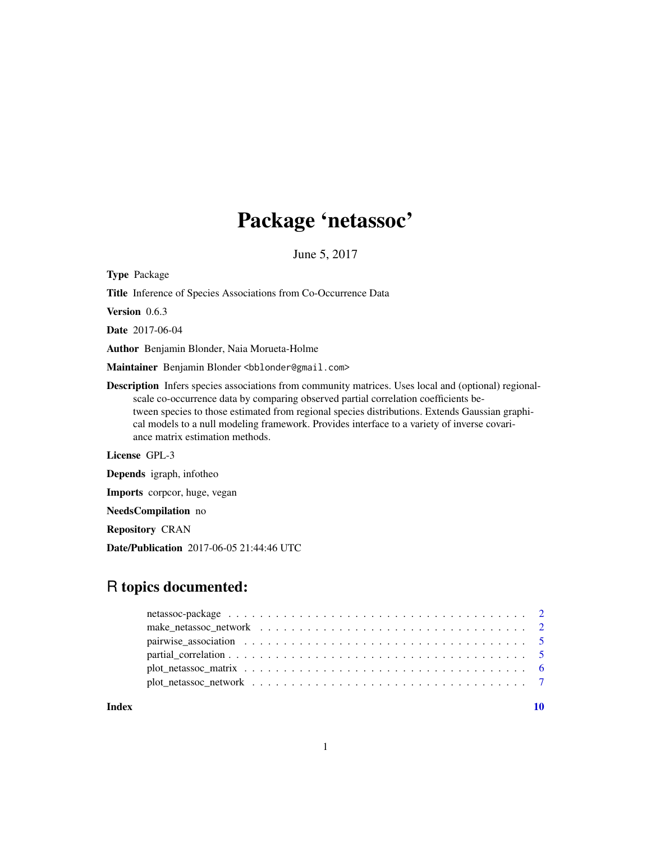## Package 'netassoc'

June 5, 2017

<span id="page-0-0"></span>Type Package

Title Inference of Species Associations from Co-Occurrence Data

Version 0.6.3

Date 2017-06-04

Author Benjamin Blonder, Naia Morueta-Holme

Maintainer Benjamin Blonder <br/>bblonder@gmail.com>

Description Infers species associations from community matrices. Uses local and (optional) regionalscale co-occurrence data by comparing observed partial correlation coefficients between species to those estimated from regional species distributions. Extends Gaussian graphical models to a null modeling framework. Provides interface to a variety of inverse covariance matrix estimation methods.

License GPL-3

Depends igraph, infotheo

Imports corpcor, huge, vegan

NeedsCompilation no

Repository CRAN

Date/Publication 2017-06-05 21:44:46 UTC

### R topics documented:

 $\blacksquare$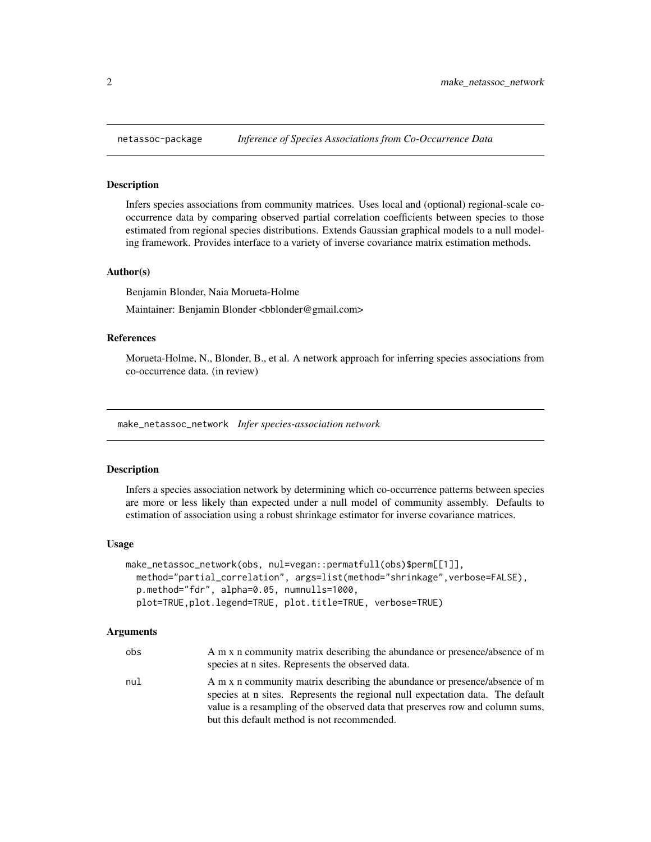<span id="page-1-0"></span>

#### Description

Infers species associations from community matrices. Uses local and (optional) regional-scale cooccurrence data by comparing observed partial correlation coefficients between species to those estimated from regional species distributions. Extends Gaussian graphical models to a null modeling framework. Provides interface to a variety of inverse covariance matrix estimation methods.

#### Author(s)

Benjamin Blonder, Naia Morueta-Holme

Maintainer: Benjamin Blonder <br/> <br/>bblonder@gmail.com>

#### References

Morueta-Holme, N., Blonder, B., et al. A network approach for inferring species associations from co-occurrence data. (in review)

make\_netassoc\_network *Infer species-association network*

#### Description

Infers a species association network by determining which co-occurrence patterns between species are more or less likely than expected under a null model of community assembly. Defaults to estimation of association using a robust shrinkage estimator for inverse covariance matrices.

#### Usage

```
make_netassoc_network(obs, nul=vegan::permatfull(obs)$perm[[1]],
 method="partial_correlation", args=list(method="shrinkage",verbose=FALSE),
 p.method="fdr", alpha=0.05, numnulls=1000,
 plot=TRUE,plot.legend=TRUE, plot.title=TRUE, verbose=TRUE)
```
#### Arguments

| obs | A m x n community matrix describing the abundance or presence/absence of m<br>species at n sites. Represents the observed data.                              |
|-----|--------------------------------------------------------------------------------------------------------------------------------------------------------------|
| nul | A m x n community matrix describing the abundance or presence/absence of m<br>species at n sites. Represents the regional null expectation data. The default |
|     | value is a resampling of the observed data that preserves row and column sums,                                                                               |
|     | but this default method is not recommended.                                                                                                                  |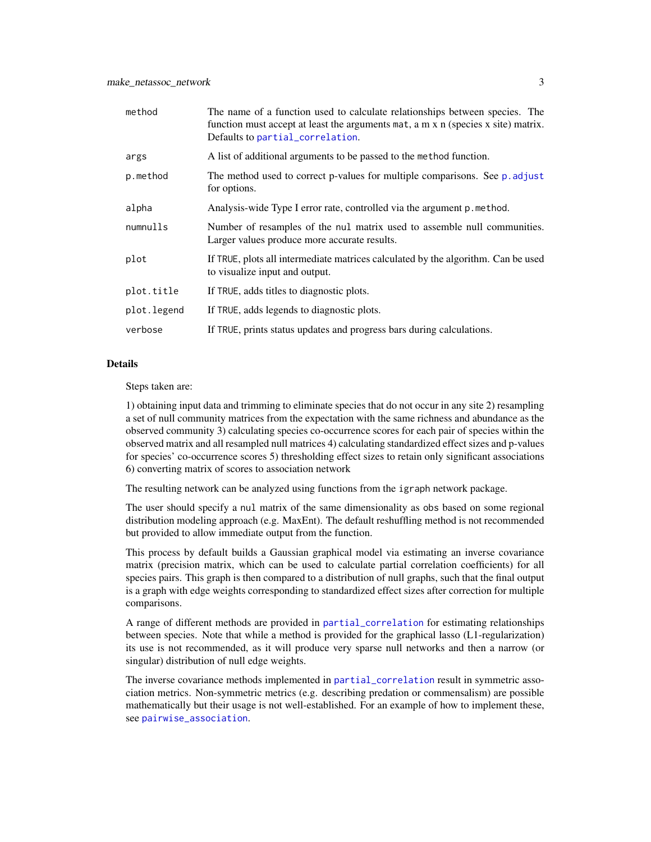<span id="page-2-0"></span>

| method      | The name of a function used to calculate relationships between species. The<br>function must accept at least the arguments mat, a m x n (species x site) matrix.<br>Defaults to partial_correlation. |
|-------------|------------------------------------------------------------------------------------------------------------------------------------------------------------------------------------------------------|
| args        | A list of additional arguments to be passed to the method function.                                                                                                                                  |
| p.method    | The method used to correct p-values for multiple comparisons. See p. adjust<br>for options.                                                                                                          |
| alpha       | Analysis-wide Type I error rate, controlled via the argument p. method.                                                                                                                              |
| numnulls    | Number of resamples of the nul matrix used to assemble null communities.<br>Larger values produce more accurate results.                                                                             |
| plot        | If TRUE, plots all intermediate matrices calculated by the algorithm. Can be used<br>to visualize input and output.                                                                                  |
| plot.title  | If TRUE, adds titles to diagnostic plots.                                                                                                                                                            |
| plot.legend | If TRUE, adds legends to diagnostic plots.                                                                                                                                                           |
| verbose     | If TRUE, prints status updates and progress bars during calculations.                                                                                                                                |

#### Details

Steps taken are:

1) obtaining input data and trimming to eliminate species that do not occur in any site 2) resampling a set of null community matrices from the expectation with the same richness and abundance as the observed community 3) calculating species co-occurrence scores for each pair of species within the observed matrix and all resampled null matrices 4) calculating standardized effect sizes and p-values for species' co-occurrence scores 5) thresholding effect sizes to retain only significant associations 6) converting matrix of scores to association network

The resulting network can be analyzed using functions from the igraph network package.

The user should specify a nul matrix of the same dimensionality as obs based on some regional distribution modeling approach (e.g. MaxEnt). The default reshuffling method is not recommended but provided to allow immediate output from the function.

This process by default builds a Gaussian graphical model via estimating an inverse covariance matrix (precision matrix, which can be used to calculate partial correlation coefficients) for all species pairs. This graph is then compared to a distribution of null graphs, such that the final output is a graph with edge weights corresponding to standardized effect sizes after correction for multiple comparisons.

A range of different methods are provided in [partial\\_correlation](#page-4-1) for estimating relationships between species. Note that while a method is provided for the graphical lasso (L1-regularization) its use is not recommended, as it will produce very sparse null networks and then a narrow (or singular) distribution of null edge weights.

The inverse covariance methods implemented in [partial\\_correlation](#page-4-1) result in symmetric association metrics. Non-symmetric metrics (e.g. describing predation or commensalism) are possible mathematically but their usage is not well-established. For an example of how to implement these, see [pairwise\\_association](#page-4-2).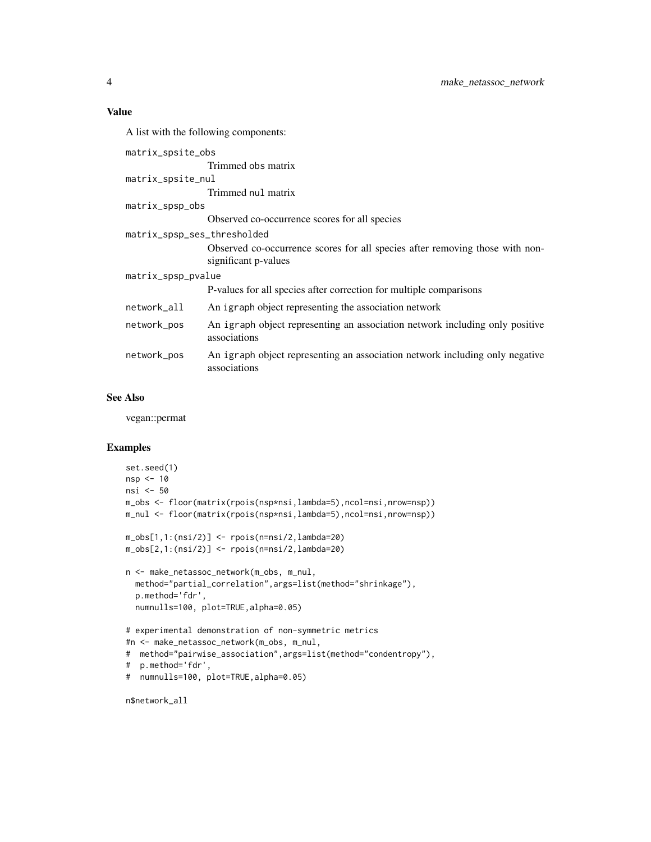#### Value

A list with the following components: matrix\_spsite\_obs Trimmed obs matrix matrix\_spsite\_nul Trimmed nul matrix matrix\_spsp\_obs Observed co-occurrence scores for all species matrix\_spsp\_ses\_thresholded Observed co-occurrence scores for all species after removing those with nonsignificant p-values matrix\_spsp\_pvalue P-values for all species after correction for multiple comparisons network\_all An igraph object representing the association network network\_pos An igraph object representing an association network including only positive associations network\_pos An igraph object representing an association network including only negative associations

#### See Also

vegan::permat

#### Examples

```
set.seed(1)
nsp <- 10
nsi <- 50
m_obs <- floor(matrix(rpois(nsp*nsi,lambda=5),ncol=nsi,nrow=nsp))
m_nul <- floor(matrix(rpois(nsp*nsi,lambda=5),ncol=nsi,nrow=nsp))
m_obs[1,1:(nsi/2)] <- rpois(n=nsi/2,lambda=20)
m_obs[2,1:(nsi/2)] <- rpois(n=nsi/2,lambda=20)
n <- make_netassoc_network(m_obs, m_nul,
  method="partial_correlation",args=list(method="shrinkage"),
  p.method='fdr',
  numnulls=100, plot=TRUE,alpha=0.05)
# experimental demonstration of non-symmetric metrics
#n <- make_netassoc_network(m_obs, m_nul,
# method="pairwise_association",args=list(method="condentropy"),
# p.method='fdr',
# numnulls=100, plot=TRUE,alpha=0.05)
```
n\$network\_all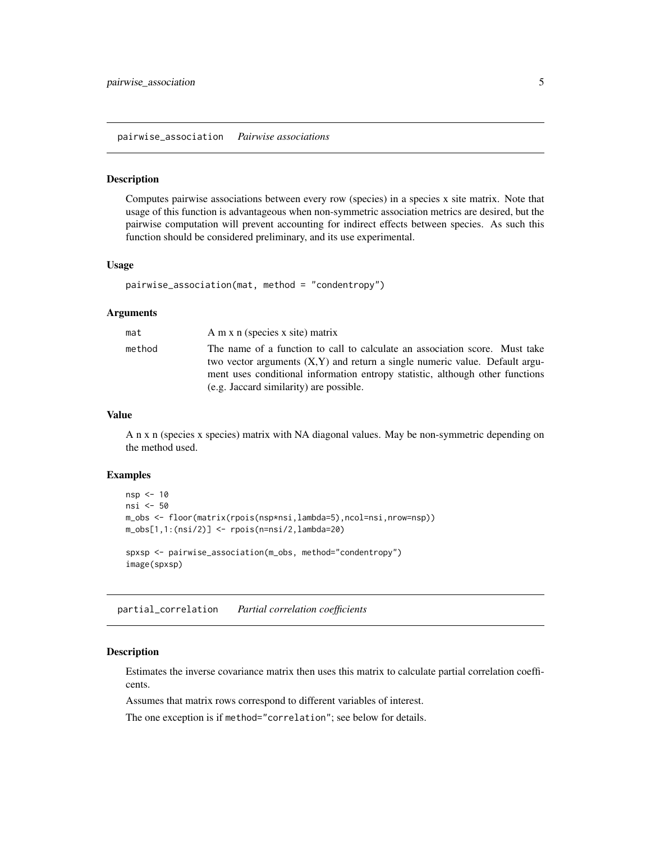<span id="page-4-2"></span><span id="page-4-0"></span>pairwise\_association *Pairwise associations*

#### Description

Computes pairwise associations between every row (species) in a species x site matrix. Note that usage of this function is advantageous when non-symmetric association metrics are desired, but the pairwise computation will prevent accounting for indirect effects between species. As such this function should be considered preliminary, and its use experimental.

#### Usage

```
pairwise_association(mat, method = "condentropy")
```
#### **Arguments**

| mat    | A m x n (species x site) matrix                                                                                                                               |
|--------|---------------------------------------------------------------------------------------------------------------------------------------------------------------|
| method | The name of a function to call to calculate an association score. Must take<br>two vector arguments $(X, Y)$ and return a single numeric value. Default argu- |
|        | ment uses conditional information entropy statistic, although other functions                                                                                 |
|        | (e.g. Jaccard similarity) are possible.                                                                                                                       |

#### Value

A n x n (species x species) matrix with NA diagonal values. May be non-symmetric depending on the method used.

#### Examples

```
nsp < -10nsi <- 50
m_obs <- floor(matrix(rpois(nsp*nsi,lambda=5),ncol=nsi,nrow=nsp))
m\_obs[1,1:(nsi/2)] \leftarrow \text{rpois}(n=\text{nsi}/2,\text{lambda}=20)spxsp <- pairwise_association(m_obs, method="condentropy")
image(spxsp)
```
<span id="page-4-1"></span>partial\_correlation *Partial correlation coefficients*

#### Description

Estimates the inverse covariance matrix then uses this matrix to calculate partial correlation coefficents.

Assumes that matrix rows correspond to different variables of interest.

The one exception is if method="correlation"; see below for details.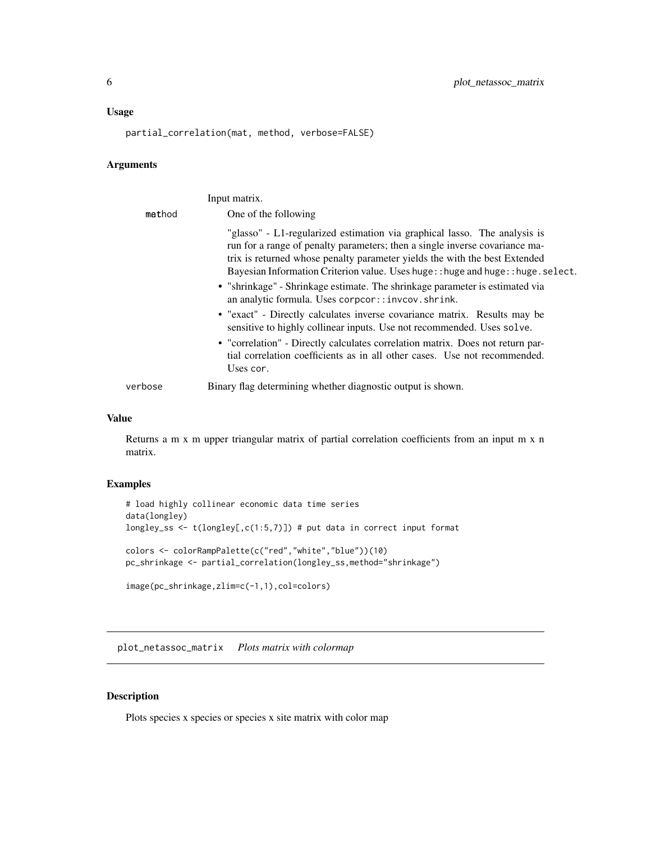#### <span id="page-5-0"></span>Usage

partial\_correlation(mat, method, verbose=FALSE)

#### Arguments

|         | Input matrix.                                                                                                                                                                                                                                                                                                                                                                                                                                                                                                                                                                                                                                                                                             |
|---------|-----------------------------------------------------------------------------------------------------------------------------------------------------------------------------------------------------------------------------------------------------------------------------------------------------------------------------------------------------------------------------------------------------------------------------------------------------------------------------------------------------------------------------------------------------------------------------------------------------------------------------------------------------------------------------------------------------------|
| method  | One of the following                                                                                                                                                                                                                                                                                                                                                                                                                                                                                                                                                                                                                                                                                      |
|         | "glasso" - L1-regularized estimation via graphical lasso. The analysis is<br>run for a range of penalty parameters; then a single inverse covariance ma-<br>trix is returned whose penalty parameter yields the with the best Extended<br>Bayesian Information Criterion value. Uses huge: : huge and huge: : huge. select.<br>• "shrinkage" - Shrinkage estimate. The shrinkage parameter is estimated via<br>an analytic formula. Uses corpcor::invcov.shrink.<br>• "exact" - Directly calculates inverse covariance matrix. Results may be<br>sensitive to highly collinear inputs. Use not recommended. Uses solve.<br>• "correlation" - Directly calculates correlation matrix. Does not return par- |
|         | tial correlation coefficients as in all other cases. Use not recommended.<br>Uses cor.                                                                                                                                                                                                                                                                                                                                                                                                                                                                                                                                                                                                                    |
| verbose | Binary flag determining whether diagnostic output is shown.                                                                                                                                                                                                                                                                                                                                                                                                                                                                                                                                                                                                                                               |

#### Value

Returns a m x m upper triangular matrix of partial correlation coefficients from an input m x n matrix.

#### Examples

```
# load highly collinear economic data time series
data(longley)
longley_ss <- t(longley[,c(1:5,7)]) # put data in correct input format
colors <- colorRampPalette(c("red","white","blue"))(10)
pc_shrinkage <- partial_correlation(longley_ss,method="shrinkage")
image(pc_shrinkage,zlim=c(-1,1),col=colors)
```
plot\_netassoc\_matrix *Plots matrix with colormap*

#### Description

Plots species x species or species x site matrix with color map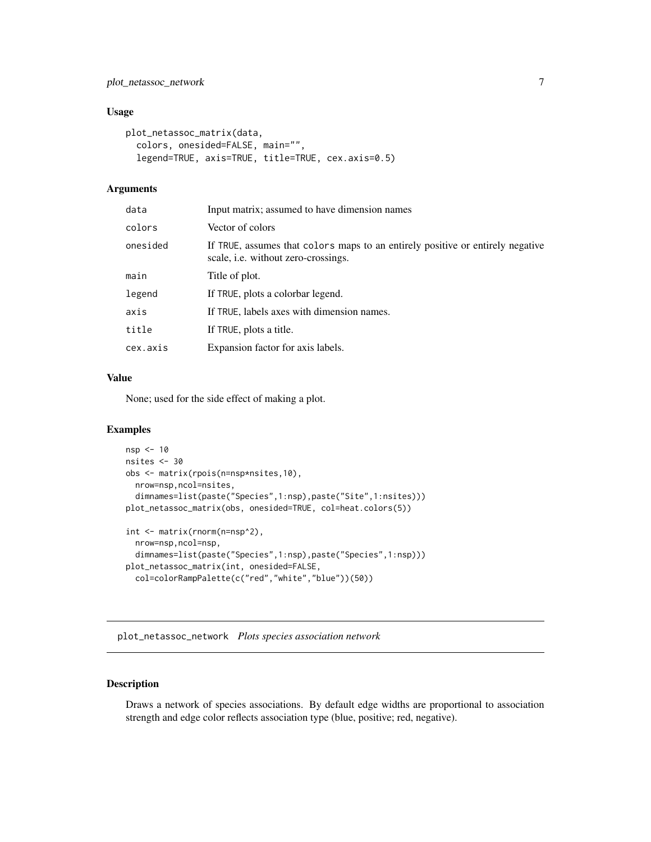#### <span id="page-6-0"></span>Usage

```
plot_netassoc_matrix(data,
  colors, onesided=FALSE, main="",
  legend=TRUE, axis=TRUE, title=TRUE, cex.axis=0.5)
```
#### Arguments

| data     | Input matrix; assumed to have dimension names                                                                                |
|----------|------------------------------------------------------------------------------------------------------------------------------|
| colors   | Vector of colors                                                                                                             |
| onesided | If TRUE, assumes that colors maps to an entirely positive or entirely negative<br>scale, <i>i.e.</i> without zero-crossings. |
| main     | Title of plot.                                                                                                               |
| legend   | If TRUE, plots a colorbar legend.                                                                                            |
| axis     | If TRUE, labels axes with dimension names.                                                                                   |
| title    | If TRUE, plots a title.                                                                                                      |
| cex.axis | Expansion factor for axis labels.                                                                                            |
|          |                                                                                                                              |

#### Value

None; used for the side effect of making a plot.

#### Examples

```
nsp <- 10
nsites <- 30
obs <- matrix(rpois(n=nsp*nsites,10),
 nrow=nsp,ncol=nsites,
  dimnames=list(paste("Species",1:nsp),paste("Site",1:nsites)))
plot_netassoc_matrix(obs, onesided=TRUE, col=heat.colors(5))
int <- matrix(rnorm(n=nsp^2),
  nrow=nsp,ncol=nsp,
  dimnames=list(paste("Species",1:nsp),paste("Species",1:nsp)))
plot_netassoc_matrix(int, onesided=FALSE,
```

```
col=colorRampPalette(c("red","white","blue"))(50))
```
plot\_netassoc\_network *Plots species association network*

#### Description

Draws a network of species associations. By default edge widths are proportional to association strength and edge color reflects association type (blue, positive; red, negative).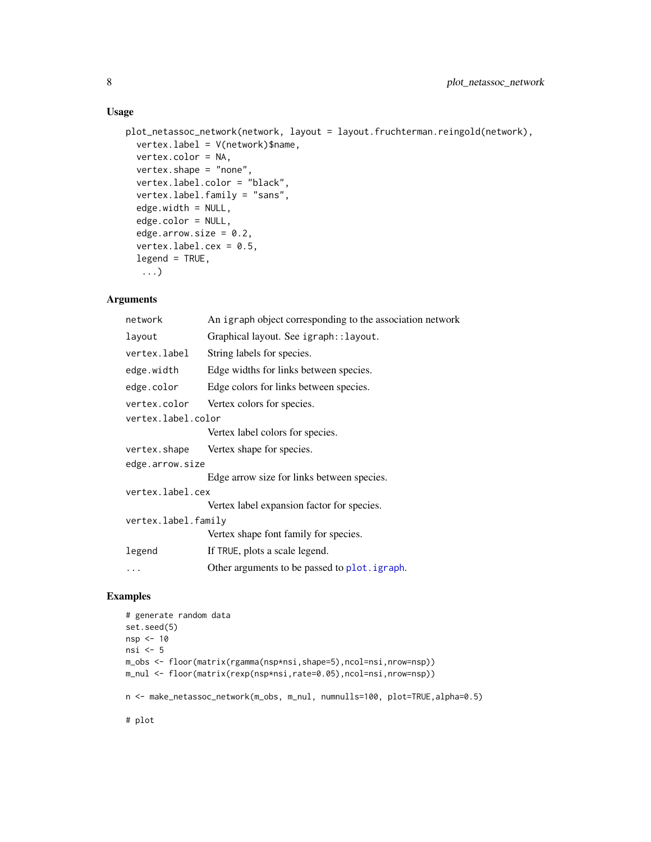#### <span id="page-7-0"></span>Usage

```
plot_netassoc_network(network, layout = layout.fruchterman.reingold(network),
  vertex.label = V(network)$name,
  vertex.color = NA,
  vertex.shape = "none",
  vertex.label.color = "black",
  vertex.label.family = "sans",
  edge.width = NULL,
  edge.color = NULL,
  edge.arrow.size = 0.2,
  vertex.label.cex = 0.5,
  legend = TRUE,...)
```
#### Arguments

| network             | An igraph object corresponding to the association network |  |
|---------------------|-----------------------------------------------------------|--|
| layout              | Graphical layout. See igraph:: layout.                    |  |
| vertex.label        | String labels for species.                                |  |
| edge.width          | Edge widths for links between species.                    |  |
| edge.color          | Edge colors for links between species.                    |  |
| vertex.color        | Vertex colors for species.                                |  |
| vertex.label.color  |                                                           |  |
|                     | Vertex label colors for species.                          |  |
| vertex.shape        | Vertex shape for species.                                 |  |
| edge.arrow.size     |                                                           |  |
|                     | Edge arrow size for links between species.                |  |
| vertex.label.cex    |                                                           |  |
|                     | Vertex label expansion factor for species.                |  |
| vertex.label.family |                                                           |  |
|                     | Vertex shape font family for species.                     |  |
| legend              | If TRUE, plots a scale legend.                            |  |
|                     | Other arguments to be passed to plot. igraph.             |  |
|                     |                                                           |  |

#### Examples

```
# generate random data
set.seed(5)
nsp <- 10
nsi <- 5
m_obs <- floor(matrix(rgamma(nsp*nsi,shape=5),ncol=nsi,nrow=nsp))
m_nul <- floor(matrix(rexp(nsp*nsi,rate=0.05),ncol=nsi,nrow=nsp))
n <- make_netassoc_network(m_obs, m_nul, numnulls=100, plot=TRUE,alpha=0.5)
# plot
```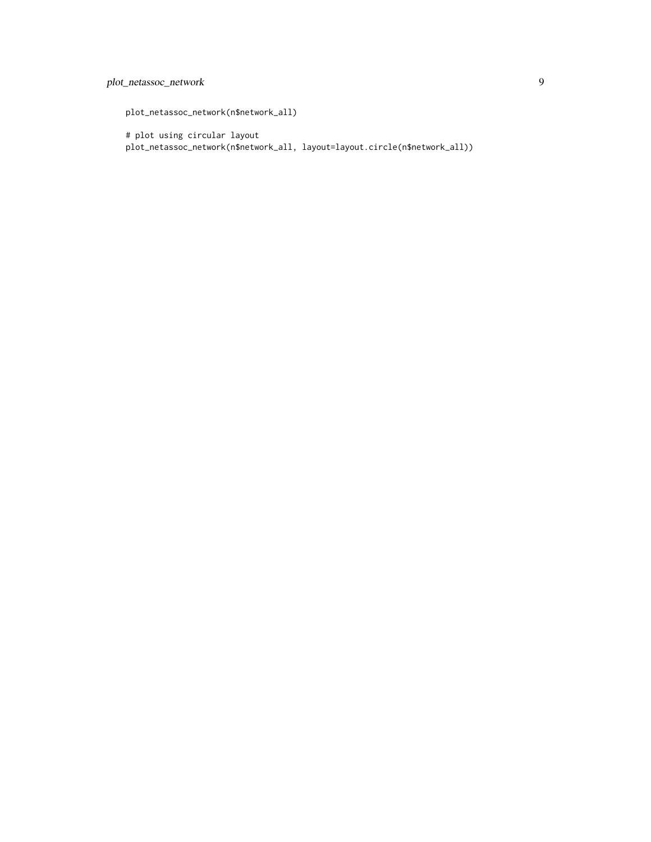#### plot\_netassoc\_network 9

plot\_netassoc\_network(n\$network\_all)

# plot using circular layout plot\_netassoc\_network(n\$network\_all, layout=layout.circle(n\$network\_all))